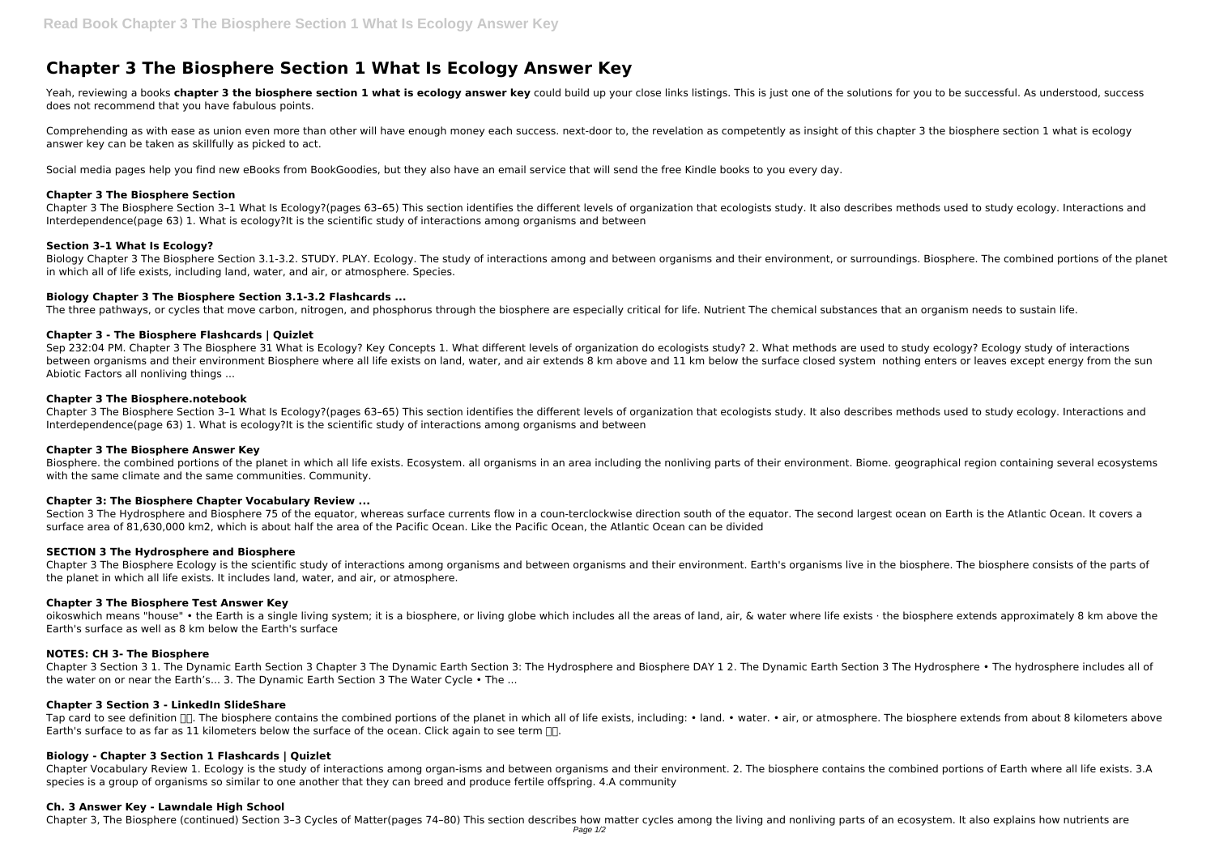# **Chapter 3 The Biosphere Section 1 What Is Ecology Answer Key**

Yeah, reviewing a books chapter 3 the biosphere section 1 what is ecology answer key could build up your close links listings. This is just one of the solutions for you to be successful. As understood, success does not recommend that you have fabulous points.

Comprehending as with ease as union even more than other will have enough money each success. next-door to, the revelation as competently as insight of this chapter 3 the biosphere section 1 what is ecology answer key can be taken as skillfully as picked to act.

Social media pages help you find new eBooks from BookGoodies, but they also have an email service that will send the free Kindle books to you every day.

Biology Chapter 3 The Biosphere Section 3.1-3.2. STUDY. PLAY. Ecology. The study of interactions among and between organisms and their environment, or surroundings. Biosphere. The combined portions of the planet in which all of life exists, including land, water, and air, or atmosphere. Species.

## **Chapter 3 The Biosphere Section**

Chapter 3 The Biosphere Section 3–1 What Is Ecology?(pages 63–65) This section identifies the different levels of organization that ecologists study. It also describes methods used to study ecology. Interactions and Interdependence(page 63) 1. What is ecology?It is the scientific study of interactions among organisms and between

Sep 232:04 PM. Chapter 3 The Biosphere 31 What is Ecology? Key Concepts 1. What different levels of organization do ecologists study? 2. What methods are used to study ecology? Ecology study of interactions between organisms and their environment Biosphere where all life exists on land, water, and air extends 8 km above and 11 km below the surface closed system nothing enters or leaves except energy from the sun Abiotic Factors all nonliving things ...

## **Section 3–1 What Is Ecology?**

# **Biology Chapter 3 The Biosphere Section 3.1-3.2 Flashcards ...**

The three pathways, or cycles that move carbon, nitrogen, and phosphorus through the biosphere are especially critical for life. Nutrient The chemical substances that an organism needs to sustain life.

Section 3 The Hydrosphere and Biosphere 75 of the equator, whereas surface currents flow in a coun-terclockwise direction south of the equator. The second largest ocean on Earth is the Atlantic Ocean. It covers a surface area of 81,630,000 km2, which is about half the area of the Pacific Ocean. Like the Pacific Ocean, the Atlantic Ocean can be divided

# **Chapter 3 - The Biosphere Flashcards | Quizlet**

Chapter 3 The Biosphere Ecology is the scientific study of interactions among organisms and between organisms and their environment. Earth's organisms live in the biosphere. The biosphere consists of the parts of the planet in which all life exists. It includes land, water, and air, or atmosphere.

oikoswhich means "house" • the Earth is a single living system; it is a biosphere, or living globe which includes all the areas of land, air, & water where life exists · the biosphere extends approximately 8 km above the Earth's surface as well as 8 km below the Earth's surface

## **Chapter 3 The Biosphere.notebook**

Chapter 3 The Biosphere Section 3–1 What Is Ecology?(pages 63–65) This section identifies the different levels of organization that ecologists study. It also describes methods used to study ecology. Interactions and Interdependence(page 63) 1. What is ecology?It is the scientific study of interactions among organisms and between

## **Chapter 3 The Biosphere Answer Key**

Biosphere. the combined portions of the planet in which all life exists. Ecosystem. all organisms in an area including the nonliving parts of their environment. Biome. geographical region containing several ecosystems with the same climate and the same communities. Community.

# **Chapter 3: The Biosphere Chapter Vocabulary Review ...**

## **SECTION 3 The Hydrosphere and Biosphere**

## **Chapter 3 The Biosphere Test Answer Key**

# **NOTES: CH 3- The Biosphere**

Chapter 3 Section 3 1. The Dynamic Earth Section 3 Chapter 3 The Dynamic Earth Section 3: The Hydrosphere and Biosphere DAY 1 2. The Dynamic Earth Section 3 The Hydrosphere • The hydrosphere includes all of the water on or near the Earth's... 3. The Dynamic Earth Section 3 The Water Cycle • The ...

## **Chapter 3 Section 3 - LinkedIn SlideShare**

Tap card to see definition  $\Box$ . The biosphere contains the combined portions of the planet in which all of life exists, including: • land. • water. • air, or atmosphere. The biosphere extends from about 8 kilometers above Earth's surface to as far as 11 kilometers below the surface of the ocean. Click again to see term  $\Box$ .

# **Biology - Chapter 3 Section 1 Flashcards | Quizlet**

Chapter Vocabulary Review 1. Ecology is the study of interactions among organ-isms and between organisms and their environment. 2. The biosphere contains the combined portions of Earth where all life exists. 3.A species is a group of organisms so similar to one another that they can breed and produce fertile offspring. 4.A community

## **Ch. 3 Answer Key - Lawndale High School**

Chapter 3, The Biosphere (continued) Section 3–3 Cycles of Matter(pages 74–80) This section describes how matter cycles among the living and nonliving parts of an ecosystem. It also explains how nutrients are